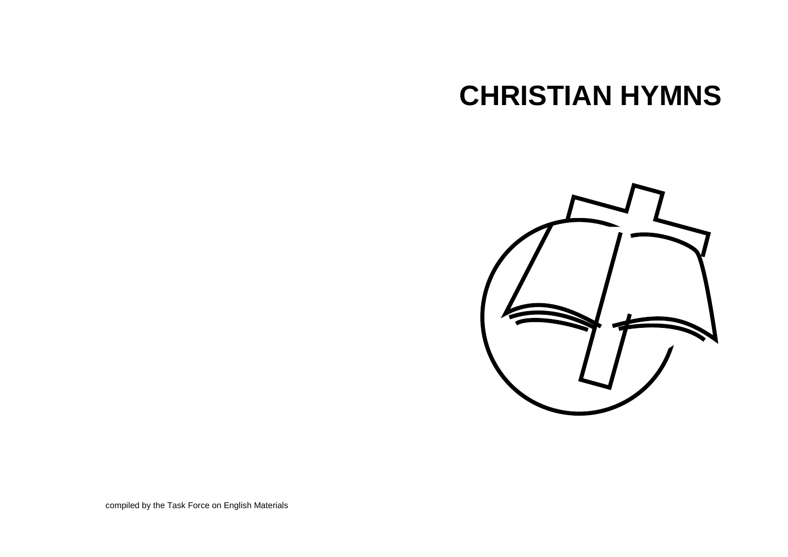# **CHRISTIAN HYMNS**



compiled by the Task Force on English Materials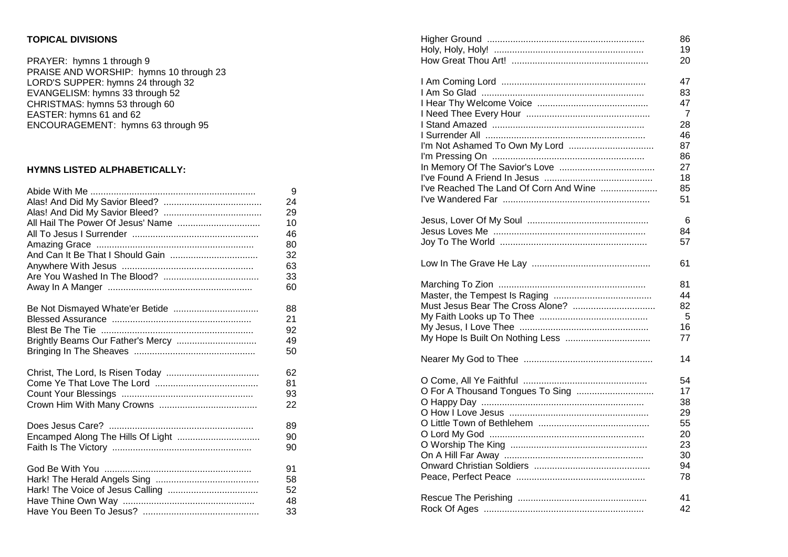## **TOPICAL DIVISIONS**

### **HYMNS LISTED ALPHABETICALLY:**

|                                   | 9  |
|-----------------------------------|----|
|                                   | 24 |
|                                   | 29 |
| All Hail The Power Of Jesus' Name | 10 |
|                                   | 46 |
|                                   | 80 |
|                                   | 32 |
|                                   | 63 |
|                                   | 33 |
|                                   | 60 |
|                                   |    |
|                                   | 88 |
|                                   | 21 |
|                                   | 92 |
| Brightly Beams Our Father's Mercy | 49 |
|                                   | 50 |
|                                   |    |
|                                   | 62 |
|                                   | 81 |
|                                   | 93 |
|                                   | 22 |
|                                   |    |
|                                   | 89 |
| Encamped Along The Hills Of Light | 90 |
|                                   | 90 |
|                                   |    |
|                                   | 91 |
|                                   | 58 |
|                                   | 52 |
|                                   | 48 |
|                                   | 33 |

| <b>TOPICAL DIVISIONS</b>                |    |                                        | 86              |
|-----------------------------------------|----|----------------------------------------|-----------------|
|                                         |    |                                        | 19              |
| PRAYER: hymns 1 through 9               |    |                                        | 20              |
| PRAISE AND WORSHIP: hymns 10 through 23 |    |                                        |                 |
| LORD'S SUPPER: hymns 24 through 32      |    |                                        | 47              |
| EVANGELISM: hymns 33 through 52         |    |                                        | 83              |
| CHRISTMAS: hymns 53 through 60          |    |                                        | 47              |
| EASTER: hymns 61 and 62                 |    |                                        | $\overline{7}$  |
| ENCOURAGEMENT: hymns 63 through 95      |    |                                        | 28              |
|                                         |    |                                        | 46              |
|                                         |    |                                        | 87              |
|                                         |    |                                        | 86              |
| HYMNS LISTED ALPHABETICALLY:            |    |                                        | 27              |
|                                         |    |                                        | 18              |
|                                         | 9  | I've Reached The Land Of Corn And Wine | 85              |
|                                         | 24 |                                        | 51              |
|                                         | 29 |                                        |                 |
| All Hail The Power Of Jesus' Name       | 10 |                                        | $6\phantom{1}6$ |
|                                         | 46 |                                        | 84              |
|                                         | 80 |                                        | 57              |
| And Can It Be That I Should Gain        | 32 |                                        |                 |
|                                         | 63 |                                        | 61              |
|                                         | 33 |                                        |                 |
|                                         | 60 |                                        | 81              |
|                                         |    |                                        | 44              |
| Be Not Dismayed Whate'er Betide         | 88 |                                        | 82              |
|                                         | 21 |                                        | 5               |
|                                         | 92 |                                        | 16              |
| Brightly Beams Our Father's Mercy       | 49 |                                        | 77              |
|                                         | 50 |                                        |                 |
|                                         |    |                                        | 14              |
|                                         | 62 |                                        |                 |
|                                         | 81 |                                        | 54              |
|                                         | 93 | O For A Thousand Tongues To Sing       | 17              |
|                                         | 22 |                                        | 38              |
|                                         |    |                                        | 29              |
|                                         | 89 |                                        | 55              |
|                                         | 90 |                                        | 20              |
|                                         | 90 |                                        | 23              |
|                                         |    |                                        | 30              |
|                                         | 91 |                                        | 94              |
|                                         | 58 |                                        | 78              |
|                                         | 52 |                                        |                 |
|                                         | 48 |                                        | 41              |
|                                         | 33 |                                        | 42              |
|                                         |    |                                        |                 |